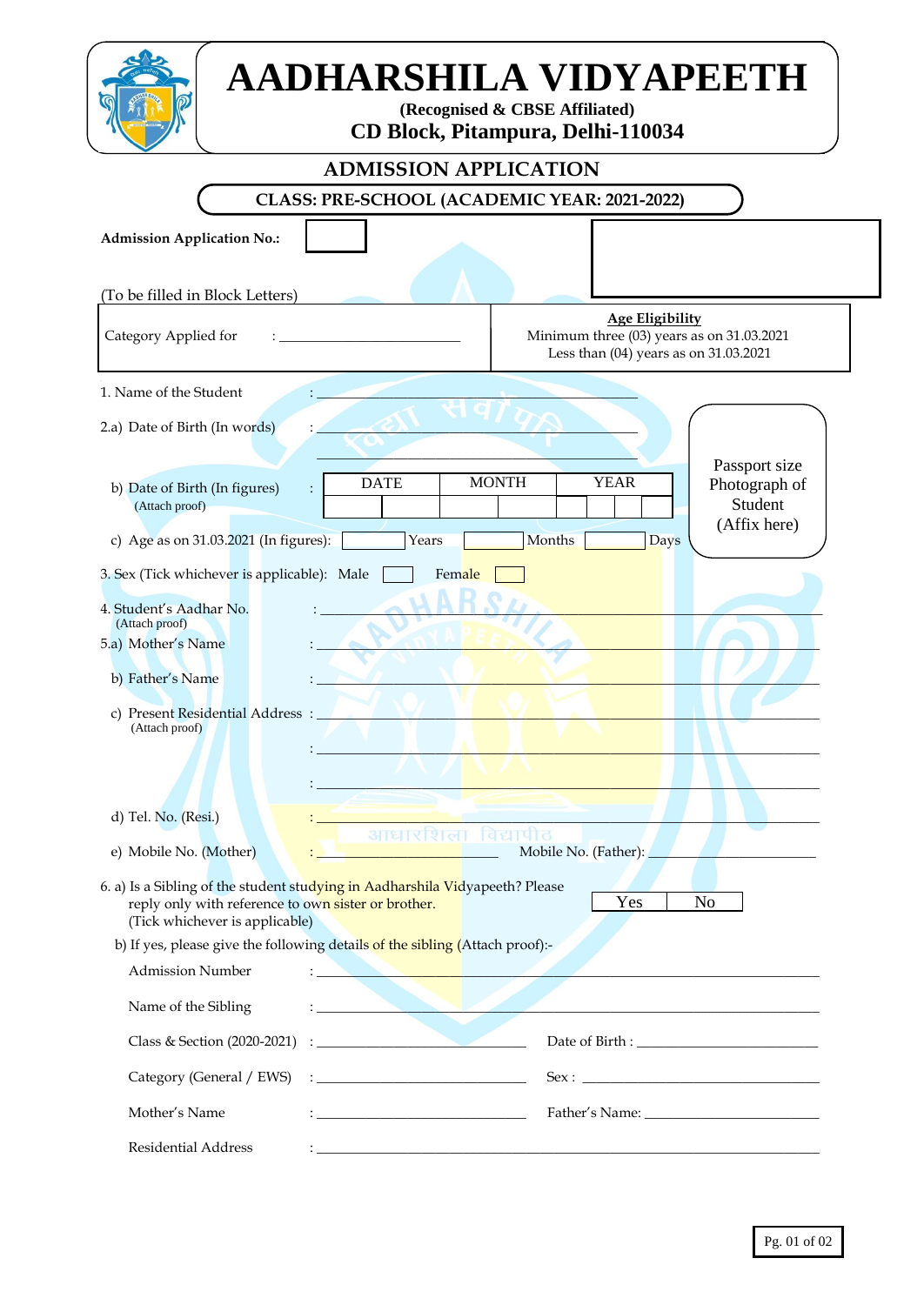| AADHARSHILA VIDYAPEETH<br>(Recognised & CBSE Affiliated)<br><b>CD Block, Pitampura, Delhi-110034</b>                                                                                                                                                          |                                                                                                                      |  |  |  |  |
|---------------------------------------------------------------------------------------------------------------------------------------------------------------------------------------------------------------------------------------------------------------|----------------------------------------------------------------------------------------------------------------------|--|--|--|--|
| <b>ADMISSION APPLICATION</b>                                                                                                                                                                                                                                  |                                                                                                                      |  |  |  |  |
| <b>CLASS: PRE-SCHOOL (ACADEMIC YEAR: 2021-2022)</b>                                                                                                                                                                                                           |                                                                                                                      |  |  |  |  |
| <b>Admission Application No.:</b>                                                                                                                                                                                                                             |                                                                                                                      |  |  |  |  |
| (To be filled in Block Letters)                                                                                                                                                                                                                               |                                                                                                                      |  |  |  |  |
| Category Applied for                                                                                                                                                                                                                                          | <b>Age Eligibility</b><br>Minimum three (03) years as on 31.03.2021<br>Less than (04) years as on 31.03.2021         |  |  |  |  |
| 1. Name of the Student                                                                                                                                                                                                                                        |                                                                                                                      |  |  |  |  |
| 2.a) Date of Birth (In words)                                                                                                                                                                                                                                 | Passport size                                                                                                        |  |  |  |  |
| <b>DATE</b><br>b) Date of Birth (In figures)<br>(Attach proof)                                                                                                                                                                                                | <b>MONTH</b><br><b>YEAR</b><br>Photograph of<br>Student<br>(Affix here)                                              |  |  |  |  |
| c) Age as on 31.03.2021 (In figures):<br>Years                                                                                                                                                                                                                | Months<br><b>Days</b>                                                                                                |  |  |  |  |
| 3. Sex (Tick whichever is applicable): Male<br>Female                                                                                                                                                                                                         |                                                                                                                      |  |  |  |  |
| 4. Student's Aadhar No.<br>(Attach proof)<br>5.a) Mother's Name                                                                                                                                                                                               |                                                                                                                      |  |  |  |  |
| b) Father's Name                                                                                                                                                                                                                                              |                                                                                                                      |  |  |  |  |
| c) Present Residential Address :<br>(Attach proof)                                                                                                                                                                                                            |                                                                                                                      |  |  |  |  |
| d) Tel. No. (Resi.)                                                                                                                                                                                                                                           |                                                                                                                      |  |  |  |  |
| e) Mobile No. (Mother)<br>the control of the control of the                                                                                                                                                                                                   | आधारशिला विद्यापीठ<br>Mobile No. (Father):                                                                           |  |  |  |  |
| 6. a) Is a Sibling of the student studying in Aadharshila Vidyapeeth? Please<br>Yes<br>N <sub>o</sub><br>reply only with reference to own sister or brother.<br>(Tick whichever is applicable)                                                                |                                                                                                                      |  |  |  |  |
| b) If yes, please give the following details of the sibling (Attach proof):-                                                                                                                                                                                  |                                                                                                                      |  |  |  |  |
| <b>Admission Number</b>                                                                                                                                                                                                                                       |                                                                                                                      |  |  |  |  |
| Name of the Sibling                                                                                                                                                                                                                                           | <u> Alexandria de la contrada de la contrada de la contrada de la contrada de la contrada de la contrada de la c</u> |  |  |  |  |
| Class & Section (2020-2021)<br>the contract of the contract of the contract of                                                                                                                                                                                |                                                                                                                      |  |  |  |  |
| Category (General / EWS)<br>$\frac{1}{2}$ . The contract of the contract of the contract of the contract of the contract of the contract of the contract of the contract of the contract of the contract of the contract of the contract of the contract of t | Sex:                                                                                                                 |  |  |  |  |
| Mother's Name<br>the control of the control of the control of the control of                                                                                                                                                                                  |                                                                                                                      |  |  |  |  |
| Residential Address                                                                                                                                                                                                                                           | and the control of the control of the control of the control of the control of the control of the control of the     |  |  |  |  |